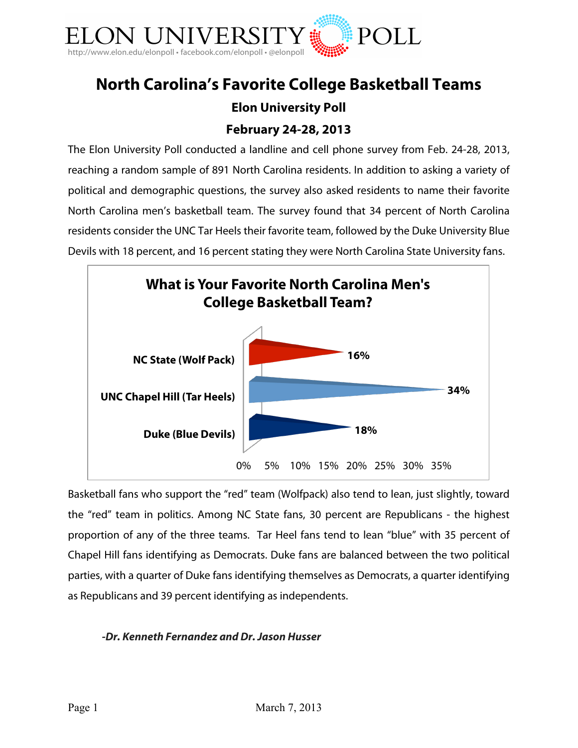

# **North Carolina's Favorite College Basketball Teams Elon University Poll**

# **February 24-28, 2013**

The Elon University Poll conducted a landline and cell phone survey from Feb. 24-28, 2013, reaching a random sample of 891 North Carolina residents. In addition to asking a variety of political and demographic questions, the survey also asked residents to name their favorite North Carolina men's basketball team. The survey found that 34 percent of North Carolina residents consider the UNC Tar Heels their favorite team, followed by the Duke University Blue Devils with 18 percent, and 16 percent stating they were North Carolina State University fans.



Basketball fans who support the "red" team (Wolfpack) also tend to lean, just slightly, toward the "red" team in politics. Among NC State fans, 30 percent are Republicans - the highest proportion of any of the three teams. Tar Heel fans tend to lean "blue" with 35 percent of Chapel Hill fans identifying as Democrats. Duke fans are balanced between the two political parties, with a quarter of Duke fans identifying themselves as Democrats, a quarter identifying as Republicans and 39 percent identifying as independents.

#### *-Dr. Kenneth Fernandez and Dr. Jason Husser*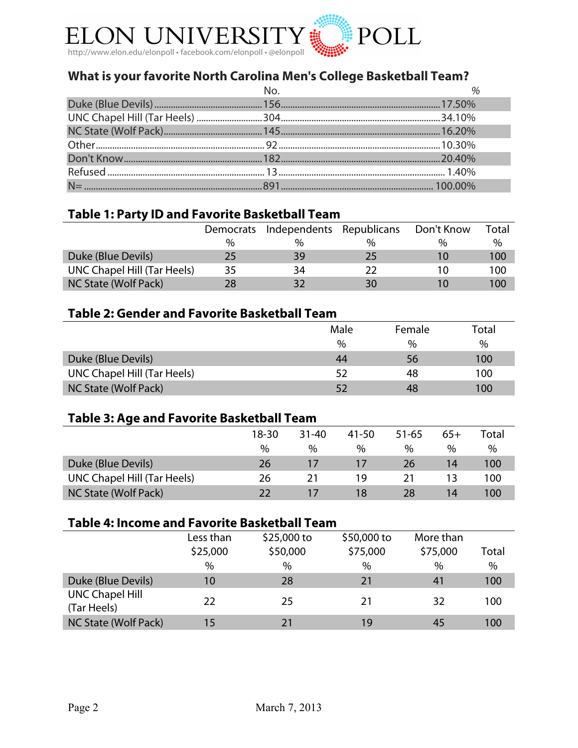

# **What is your favorite North Carolina Men's College Basketball Team?**

## **Table 1: Party ID and Favorite Basketball Team**

|                             | Democrats     | Independents Republicans |    | Don't Know | Total |
|-----------------------------|---------------|--------------------------|----|------------|-------|
|                             | $\frac{0}{0}$ | $\frac{0}{0}$            | %  | 0/2        | $\%$  |
| Duke (Blue Devils)          | 25            | 39                       | 25 |            | 100   |
| UNC Chapel Hill (Tar Heels) | 35            | 34                       |    |            | 100   |
| NC State (Wolf Pack)        | 28            | 32                       | 30 |            | 100   |

#### **Table 2: Gender and Favorite Basketball Team**

|                             | Male | Female | Total |
|-----------------------------|------|--------|-------|
|                             | $\%$ | $\%$   | %     |
| Duke (Blue Devils)          | 44   | 56     | 100   |
| UNC Chapel Hill (Tar Heels) | 52   | 48     | 100   |
| NC State (Wolf Pack)        |      | 48     | 100   |

#### **Table 3: Age and Favorite Basketball Team**

|                             | $18 - 30$ | $31 - 40$ | 41-50 | 51-65 | $65+$ | Total |
|-----------------------------|-----------|-----------|-------|-------|-------|-------|
|                             | $\%$      | %         | %     | %     | %     | $\%$  |
| Duke (Blue Devils)          | 26        |           |       | 26    | 14    | 100   |
| UNC Chapel Hill (Tar Heels) | 26        | 21        | 19    |       | 13    | 100   |
| NC State (Wolf Pack)        |           |           | 18    | 28    | 14    | 100   |

# **Table 4: Income and Favorite Basketball Team**

|                                       | Less than<br>\$25,000<br>% | $$25,000$ to<br>\$50,000<br>% | \$50,000 to<br>\$75,000<br>$\%$ | More than<br>\$75,000<br>$\%$ | Total<br>$\%$ |
|---------------------------------------|----------------------------|-------------------------------|---------------------------------|-------------------------------|---------------|
| Duke (Blue Devils)                    | 10                         | 28                            | 21                              | 41                            | 100           |
| <b>UNC Chapel Hill</b><br>(Tar Heels) | 22                         | 25                            | 21                              | 32                            | 100           |
| NC State (Wolf Pack)                  | 15                         | 21                            | 19                              | 45                            | 100           |